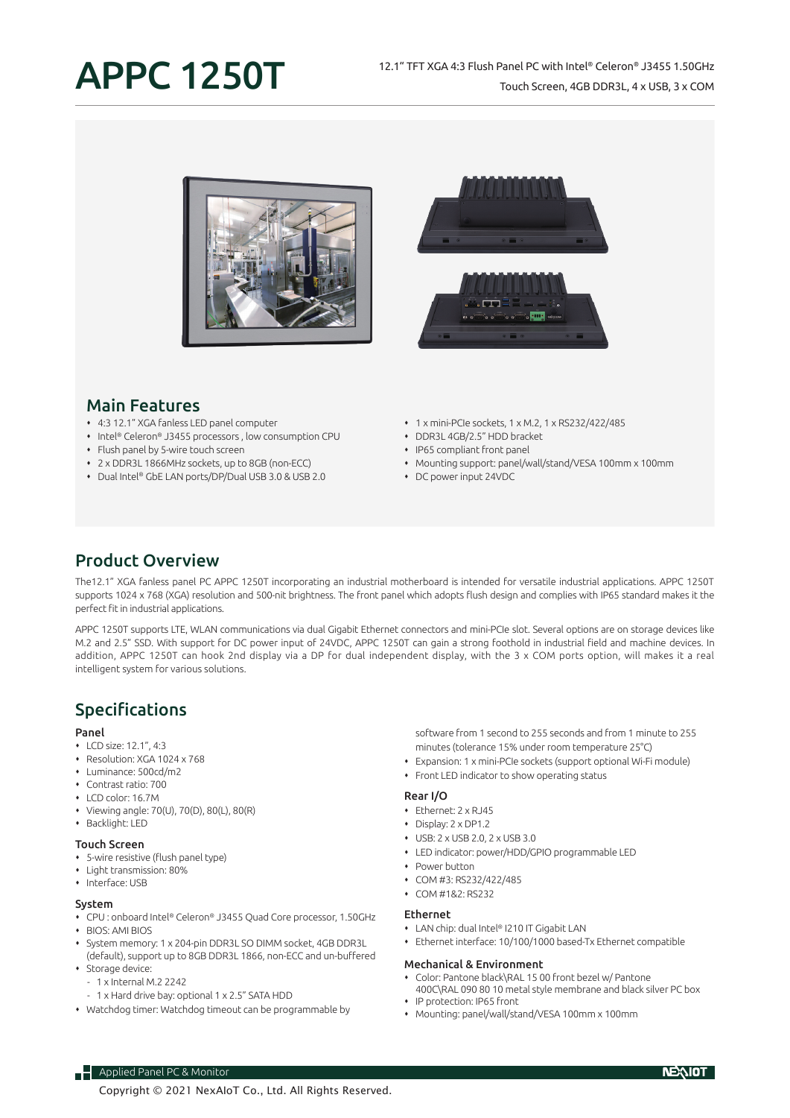# APPC 1250T

### 12.1" TFT XGA 4:3 Flush Panel PC with Intel® Celeron® J3455 1.50GHz Touch Screen, 4GB DDR3L, 4 x USB, 3 x COM







## Main Features

- 4:3 12.1" XGA fanless LED panel computer
- ◆ Intel® Celeron® J3455 processors , low consumption CPU
- Flush panel by 5-wire touch screen
- 2 x DDR3L 1866MHz sockets, up to 8GB (non-ECC)
- Dual Intel® GbE LAN ports/DP/Dual USB 3.0 & USB 2.0
- 1 x mini-PCIe sockets, 1 x M.2, 1 x RS232/422/485
- DDR3L 4GB/2.5" HDD bracket
- IP65 compliant front panel
- Mounting support: panel/wall/stand/VESA 100mm x 100mm
- DC power input 24VDC

## Product Overview

The12.1" XGA fanless panel PC APPC 1250T incorporating an industrial motherboard is intended for versatile industrial applications. APPC 1250T supports 1024 x 768 (XGA) resolution and 500-nit brightness. The front panel which adopts flush design and complies with IP65 standard makes it the perfect fit in industrial applications.

APPC 1250T supports LTE, WLAN communications via dual Gigabit Ethernet connectors and mini-PCIe slot. Several options are on storage devices like M.2 and 2.5" SSD. With support for DC power input of 24VDC, APPC 1250T can gain a strong foothold in industrial field and machine devices. In addition, APPC 1250T can hook 2nd display via a DP for dual independent display, with the 3 x COM ports option, will makes it a real intelligent system for various solutions.

## Specifications

#### Panel

- LCD size: 12.1", 4:3
- Resolution: XGA 1024 x 768
- Luminance: 500cd/m2
- Contrast ratio: 700
- LCD color: 16.7M
- Viewing angle: 70(U), 70(D), 80(L), 80(R)
- Backlight: LED

#### Touch Screen

- 5-wire resistive (flush panel type)
- Light transmission: 80%
- Interface: USB

#### System

- CPU : onboard Intel® Celeron® J3455 Quad Core processor, 1.50GHz
- BIOS: AMI BIOS System memory: 1 x 204-pin DDR3L SO DIMM socket, 4GB DDR3L
- (default), support up to 8GB DDR3L 1866, non-ECC and un-buffered
- Storage device:
	- 1 x Internal M.2 2242

**Applied Panel PC & Monitor** 

- 1 x Hard drive bay: optional 1 x 2.5" SATA HDD
- Watchdog timer: Watchdog timeout can be programmable by

software from 1 second to 255 seconds and from 1 minute to 255 minutes (tolerance 15% under room temperature 25°C)

- Expansion: 1 x mini-PCIe sockets (support optional Wi-Fi module)
- Front LED indicator to show operating status

#### Rear I/O

- Ethernet: 2 x RJ45
- Display: 2 x DP1.2
- USB: 2 x USB 2.0, 2 x USB 3.0
- LED indicator: power/HDD/GPIO programmable LED
- Power button
- COM #3: RS232/422/485
- COM #1&2: RS232

#### Ethernet

- LAN chip: dual Intel® I210 IT Gigabit LAN
- Ethernet interface: 10/100/1000 based-Tx Ethernet compatible

#### Mechanical & Environment

- Color: Pantone black\RAL 15 00 front bezel w/ Pantone
- 400C\RAL 090 80 10 metal style membrane and black silver PC box IP protection: IP65 front
- Mounting: panel/wall/stand/VESA 100mm x 100mm